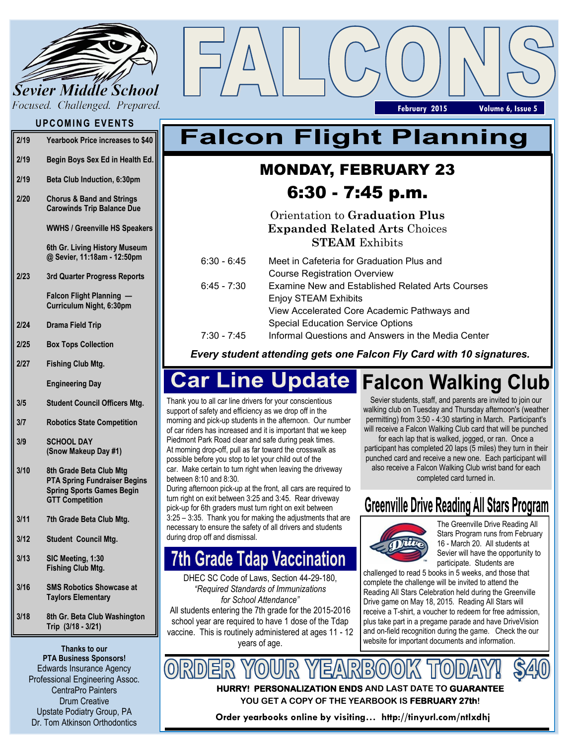

Focused. Challenged. Prepared.

## **UPCOMING EVENTS**

| 2/19 | Yearbook Price increases to \$40 |
|------|----------------------------------|
|------|----------------------------------|

- **2/19 Begin Boys Sex Ed in Health Ed.**
- **2/19 Beta Club Induction, 6:30pm**
- **2/20 Chorus & Band and Strings Carowinds Trip Balance Due**

**WWHS / Greenville HS Speakers**

**6th Gr. Living History Museum @ Sevier, 11:18am - 12:50pm**

**2/23 3rd Quarter Progress Reports**

> **Falcon Flight Planning — Curriculum Night, 6:30pm**

- **2/24 Drama Field Trip**
- **2/25 Box Tops Collection**
- **2/27 Fishing Club Mtg.**

**Engineering Day**

- **3/5 Student Council Officers Mtg.**
- **3/7 Robotics State Competition**
- **3/9 SCHOOL DAY (Snow Makeup Day #1)**
- **3/10 8th Grade Beta Club Mtg PTA Spring Fundraiser Begins Spring Sports Games Begin GTT Competition**
- **3/11 7th Grade Beta Club Mtg.**
- **3/12 Student Council Mtg.**
- **3/13 SIC Meeting, 1:30 Fishing Club Mtg.**
- **3/16 SMS Robotics Showcase at Taylors Elementary**
- **3/18 8th Gr. Beta Club Washington Trip (3/18 - 3/21)**

**Thanks to our PTA Business Sponsors!** Edwards Insurance Agency Professional Engineering Assoc. CentraPro Painters Drum Creative Upstate Podiatry Group, PA Dr. Tom Atkinson Orthodontics

# **Falcon Flight Planning**

## MONDAY, FEBRUARY 23 6:30 - 7:45 p.m.

Orientation to **Graduation Plus Expanded Related Arts** Choices **STEAM** Exhibits

| 6:30 - 6:45 | Meet in Cafeteria for Graduation Plus and               |  |
|-------------|---------------------------------------------------------|--|
|             | <b>Course Registration Overview</b>                     |  |
| 6:45 - 7:30 | <b>Examine New and Established Related Arts Courses</b> |  |
|             | <b>Enjoy STEAM Exhibits</b>                             |  |
|             | View Accelerated Core Academic Pathways and             |  |
|             | <b>Special Education Service Options</b>                |  |
| 7:30 - 7:45 | Informal Questions and Answers in the Media Center      |  |

*Every student attending gets one Falcon Fly Card with 10 signatures.* 

### **Car Line Update Falcon Walking Club**

Thank you to all car line drivers for your conscientious support of safety and efficiency as we drop off in the morning and pick-up students in the afternoon. Our number of car riders has increased and it is important that we keep Piedmont Park Road clear and safe during peak times. At morning drop-off, pull as far toward the crosswalk as possible before you stop to let your child out of the car. Make certain to turn right when leaving the driveway between 8:10 and 8:30.

During afternoon pick-up at the front, all cars are required to turn right on exit between 3:25 and 3:45. Rear driveway pick-up for 6th graders must turn right on exit between 3:25 – 3:35. Thank you for making the adjustments that are necessary to ensure the safety of all drivers and students during drop off and dismissal.

# **7th Grade Tdap Vaccination**

DHEC SC Code of Laws, Section 44-29-180, *"Required Standards of Immunizations for School Attendance"* All students entering the 7th grade for the 2015-2016 school year are required to have 1 dose of the Tdap vaccine. This is routinely administered at ages 11 - 12 years of age.

Sevier students, staff, and parents are invited to join our walking club on Tuesday and Thursday afternoon's (weather permitting) from 3:50 - 4:30 starting in March. Participant's will receive a Falcon Walking Club card that will be punched

**February 2015 Volume 6, Issue 5**

for each lap that is walked, jogged, or ran. Once a participant has completed 20 laps (5 miles) they turn in their punched card and receive a new one. Each participant will also receive a Falcon Walking Club wrist band for each completed card turned in.

# **Greenville Drive Reading All Stars Program**



The Greenville Drive Reading All Stars Program runs from February 16 - March 20. All students at Sevier will have the opportunity to participate. Students are

challenged to read 5 books in 5 weeks, and those that complete the challenge will be invited to attend the Reading All Stars Celebration held during the Greenville Drive game on May 18, 2015. Reading All Stars will receive a T-shirt, a voucher to redeem for free admission, plus take part in a pregame parade and have DriveVision and on-field recognition during the game. Check the our website for important documents and information.

**HURRY! PERSONALIZATION ENDS AND LAST DATE TO GUARANTEE YOU GET A COPY OF THE YEARBOOK IS FEBRUARY 27th!** 

**Order yearbooks online by visiting… http://tinyurl.com/ntlxdhj**